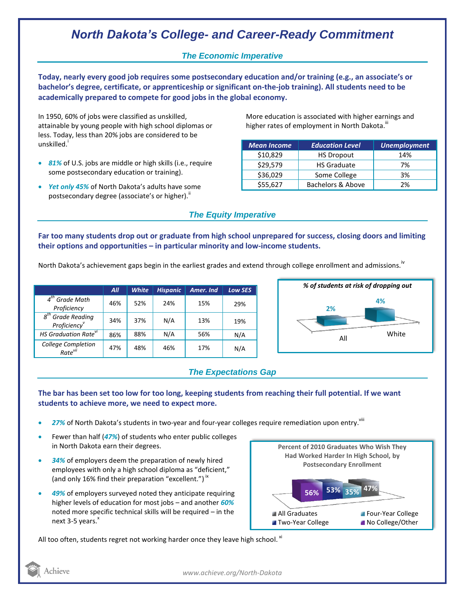# *North Dakota's College- and Career-Ready Commitment*

### *The Economic Imperative*

**Today, nearly every good job requires some postsecondary education and/or training (e.g., an associate's or bachelor's degree, certificate, or apprenticeship or significant on-the-job training). All students need to be academically prepared to compete for good jobs in the global economy.**

In 1950, 60% of jobs were classified as unskilled, attainable by young people with high school diplomas or less. Today, less than 20% jobs are considered to be unskilled.<sup>1</sup>

- *81%* of U.S. jobs are middle or high skills (i.e., require some postsecondary education or training).
- *Yet only 45%* of North Dakota's adults have some postsecondary degree (associate's or higher)."

More education is associated with higher earnings and higher rates of employment in North Dakota.<sup>III</sup>

| <b>Mean Income</b> | <b>Education Level</b> | Unemployment |
|--------------------|------------------------|--------------|
| \$10,829           | <b>HS Dropout</b>      | 14%          |
| \$29,579           | <b>HS Graduate</b>     | 7%           |
| \$36,029           | Some College           | 3%           |
| \$55,627           | Bachelors & Above      | 2%           |

## *The Equity Imperative*

**Far too many students drop out or graduate from high school unprepared for success, closing doors and limiting their options and opportunities – in particular minority and low-income students.** 

North Dakota's achievement gaps begin in the earliest grades and extend through college enrollment and admissions.<sup>iv</sup>

|                                                                        | All | <b>White</b> | <b>Hispanic</b> | Amer. Ind | <b>Low SES</b> |
|------------------------------------------------------------------------|-----|--------------|-----------------|-----------|----------------|
| $\boldsymbol{\Lambda}^{\text{tn}}$<br><b>Grade Math</b><br>Proficiency | 46% | 52%          | 24%             | 15%       | 29%            |
| 8 <sup>th</sup> Grade Reading<br>Proficiency                           | 34% | 37%          | N/A             | 13%       | 19%            |
| HS Graduation Rate <sup>vi</sup>                                       | 86% | 88%          | N/A             | 56%       | N/A            |
| College Completion<br>Rate <sup>vii</sup>                              | 47% | 48%          | 46%             | 17%       | N/A            |



## *The Expectations Gap*

#### **The bar has been set too low for too long, keeping students from reaching their full potential. If we want students to achieve more, we need to expect more.**

- 27% of North Dakota's students in two-year and four-year colleges require remediation upon entry. Vill
- Fewer than half (*47%*) of students who enter public colleges in North Dakota earn their degrees.
- *34%* of employers deem the preparation of newly hired employees with only a high school diploma as "deficient," (and only 16% find their preparation "excellent.")<sup>ix</sup>
- *49%* of employers surveyed noted they anticipate requiring higher levels of education for most jobs – and another *60%* noted more specific technical skills will be required – in the next  $3-5$  years. $^{x}$



All too often, students regret not working harder once they leave high school.  $^{\text{xi}}$ 



*www.achieve.org/North-Dakota*